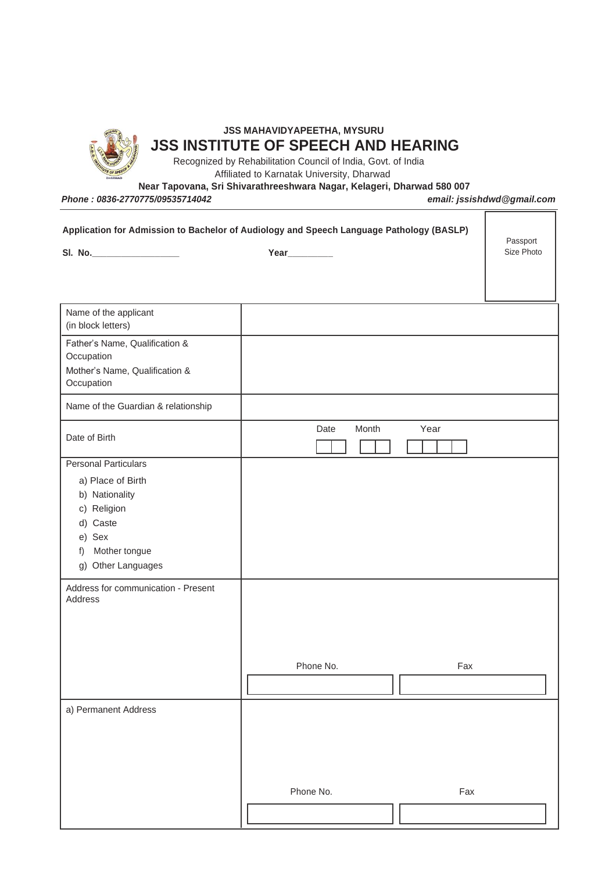

## **JSS MAHAVIDYAPEETHA, MYSURU JSS INSTITUTE OF SPEECH AND HEARING**

Recognized by Rehabilitation Council of India, Govt. of India Affiliated to Karnatak University, Dharwad

**Near Tapovana, Sri Shivarathreeshwara Nagar, Kelageri, Dharwad 580 007**

*Phone : 0836-2770775/09535714042 email: jssishdwd@gmail.com*

| Application for Admission to Bachelor of Audiology and Speech Language Pathology (BASLP)<br>Year_________                                                                                              |                       |          | Passport<br>Size Photo |
|--------------------------------------------------------------------------------------------------------------------------------------------------------------------------------------------------------|-----------------------|----------|------------------------|
|                                                                                                                                                                                                        |                       |          |                        |
|                                                                                                                                                                                                        |                       |          |                        |
| Name of the applicant<br>(in block letters)                                                                                                                                                            |                       |          |                        |
| Father's Name, Qualification &<br>Occupation<br>Mother's Name, Qualification &<br>Occupation                                                                                                           |                       |          |                        |
| Name of the Guardian & relationship                                                                                                                                                                    |                       |          |                        |
| Date of Birth                                                                                                                                                                                          | Month<br>Year<br>Date |          |                        |
| <b>Personal Particulars</b><br>a) Place of Birth<br>b) Nationality<br>c) Religion<br>d) Caste<br>e) Sex<br>Mother tongue<br>f)<br>g) Other Languages<br>Address for communication - Present<br>Address |                       |          |                        |
|                                                                                                                                                                                                        | Phone No.             | Fax<br>Г |                        |
| a) Permanent Address                                                                                                                                                                                   |                       |          |                        |
|                                                                                                                                                                                                        | Phone No.             | Fax      |                        |